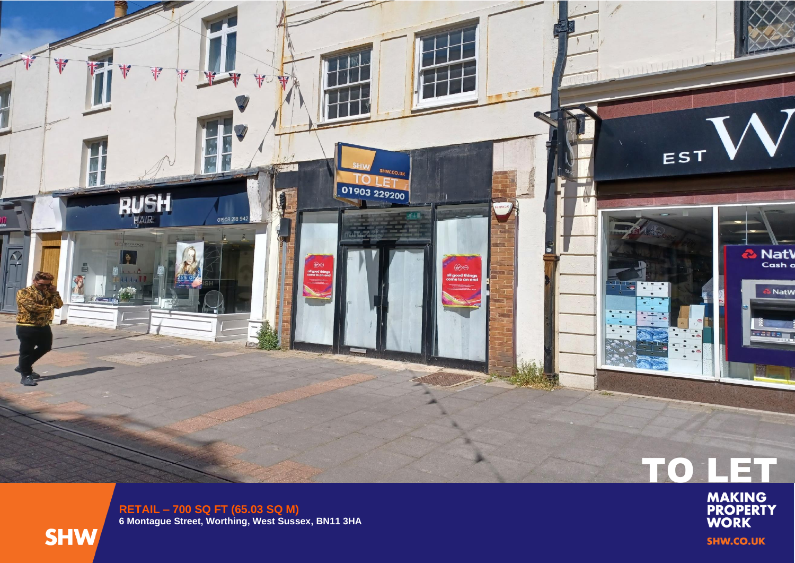

**RETAIL – 700 SQ FT (65.03 SQ M ) 6 Montague Street, Worthing, West Sussex, BN11 3HA**



TO LET

**SHW.CO.UK**